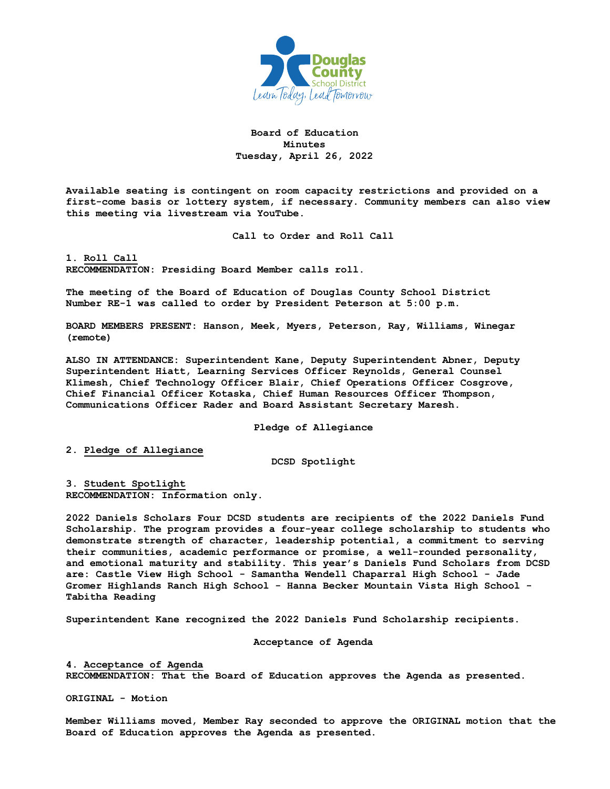

**Board of Education Minutes Tuesday, April 26, 2022**

**Available seating is contingent on room capacity restrictions and provided on a first-come basis or lottery system, if necessary. Community members can also view this meeting via livestream via YouTube.** 

**Call to Order and Roll Call**

**1. Roll Call RECOMMENDATION: Presiding Board Member calls roll.** 

**The meeting of the Board of Education of Douglas County School District Number RE-1 was called to order by President Peterson at 5:00 p.m.**

**BOARD MEMBERS PRESENT: Hanson, Meek, Myers, Peterson, Ray, Williams, Winegar (remote)**

**ALSO IN ATTENDANCE: Superintendent Kane, Deputy Superintendent Abner, Deputy Superintendent Hiatt, Learning Services Officer Reynolds, General Counsel Klimesh, Chief Technology Officer Blair, Chief Operations Officer Cosgrove, Chief Financial Officer Kotaska, Chief Human Resources Officer Thompson, Communications Officer Rader and Board Assistant Secretary Maresh.**

**Pledge of Allegiance**

**2. Pledge of Allegiance**

**DCSD Spotlight**

**3. Student Spotlight RECOMMENDATION: Information only.** 

**2022 Daniels Scholars Four DCSD students are recipients of the 2022 Daniels Fund Scholarship. The program provides a four-year college scholarship to students who demonstrate strength of character, leadership potential, a commitment to serving their communities, academic performance or promise, a well-rounded personality, and emotional maturity and stability. This year's Daniels Fund Scholars from DCSD are: Castle View High School - Samantha Wendell Chaparral High School - Jade Gromer Highlands Ranch High School - Hanna Becker Mountain Vista High School - Tabitha Reading** 

**Superintendent Kane recognized the 2022 Daniels Fund Scholarship recipients.**

**Acceptance of Agenda**

**4. Acceptance of Agenda RECOMMENDATION: That the Board of Education approves the Agenda as presented.** 

**ORIGINAL - Motion** 

**Member Williams moved, Member Ray seconded to approve the ORIGINAL motion that the Board of Education approves the Agenda as presented.**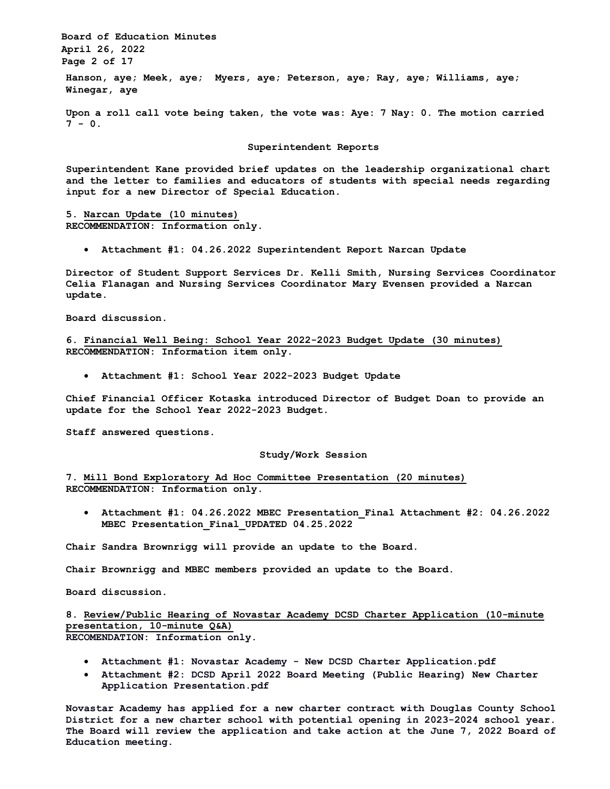**Board of Education Minutes April 26, 2022 Page 2 of 17**

**Hanson, aye; Meek, aye; Myers, aye; Peterson, aye; Ray, aye; Williams, aye; Winegar, aye**

**Upon a roll call vote being taken, the vote was: Aye: 7 Nay: 0. The motion carried**  $7 - 0.$ 

**Superintendent Reports**

**Superintendent Kane provided brief updates on the leadership organizational chart and the letter to families and educators of students with special needs regarding input for a new Director of Special Education.**

**5. Narcan Update (10 minutes) RECOMMENDATION: Information only.** 

• **Attachment #1: 04.26.2022 Superintendent Report Narcan Update** 

**Director of Student Support Services Dr. Kelli Smith, Nursing Services Coordinator Celia Flanagan and Nursing Services Coordinator Mary Evensen provided a Narcan update.**

**Board discussion.**

**6. Financial Well Being: School Year 2022-2023 Budget Update (30 minutes) RECOMMENDATION: Information item only.**

• **Attachment #1: School Year 2022-2023 Budget Update** 

**Chief Financial Officer Kotaska introduced Director of Budget Doan to provide an update for the School Year 2022-2023 Budget.** 

**Staff answered questions.**

### **Study/Work Session**

**7. Mill Bond Exploratory Ad Hoc Committee Presentation (20 minutes) RECOMMENDATION: Information only.**

• **Attachment #1: 04.26.2022 MBEC Presentation\_Final Attachment #2: 04.26.2022 MBEC Presentation\_Final\_UPDATED 04.25.2022** 

**Chair Sandra Brownrigg will provide an update to the Board.** 

**Chair Brownrigg and MBEC members provided an update to the Board.**

**Board discussion.**

**8. Review/Public Hearing of Novastar Academy DCSD Charter Application (10-minute presentation, 10-minute Q&A) RECOMENDATION: Information only.**

- **Attachment #1: Novastar Academy - New DCSD Charter Application.pdf**
- **Attachment #2: DCSD April 2022 Board Meeting (Public Hearing) New Charter Application Presentation.pdf**

**Novastar Academy has applied for a new charter contract with Douglas County School District for a new charter school with potential opening in 2023-2024 school year. The Board will review the application and take action at the June 7, 2022 Board of Education meeting.**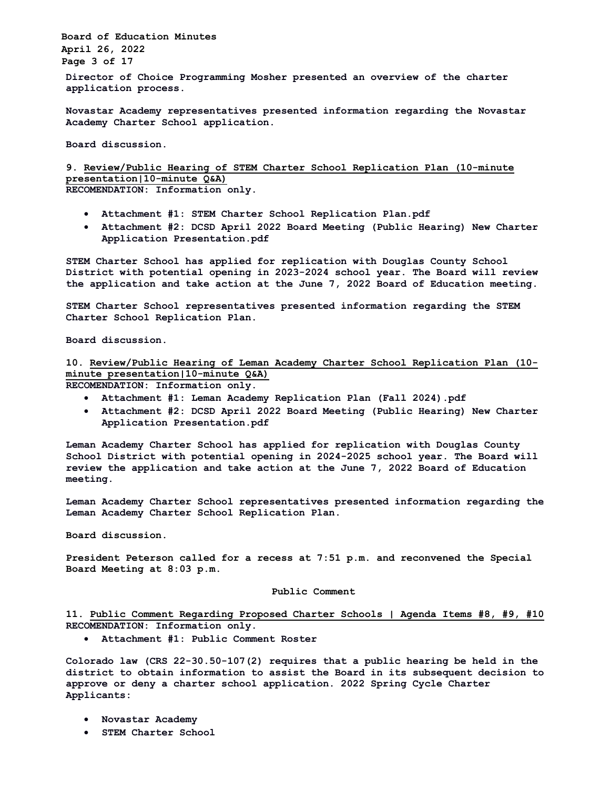**Board of Education Minutes April 26, 2022 Page 3 of 17**

**Director of Choice Programming Mosher presented an overview of the charter application process.**

**Novastar Academy representatives presented information regarding the Novastar Academy Charter School application.**

**Board discussion.**

**9. Review/Public Hearing of STEM Charter School Replication Plan (10-minute presentation|10-minute Q&A) RECOMENDATION: Information only.**

- **Attachment #1: STEM Charter School Replication Plan.pdf**
- **Attachment #2: DCSD April 2022 Board Meeting (Public Hearing) New Charter Application Presentation.pdf**

**STEM Charter School has applied for replication with Douglas County School District with potential opening in 2023-2024 school year. The Board will review the application and take action at the June 7, 2022 Board of Education meeting.** 

**STEM Charter School representatives presented information regarding the STEM Charter School Replication Plan.**

**Board discussion.**

**10. Review/Public Hearing of Leman Academy Charter School Replication Plan (10 minute presentation|10-minute Q&A) RECOMENDATION: Information only.**

- **Attachment #1: Leman Academy Replication Plan (Fall 2024).pdf**
- **Attachment #2: DCSD April 2022 Board Meeting (Public Hearing) New Charter Application Presentation.pdf**

**Leman Academy Charter School has applied for replication with Douglas County School District with potential opening in 2024-2025 school year. The Board will review the application and take action at the June 7, 2022 Board of Education meeting.** 

**Leman Academy Charter School representatives presented information regarding the Leman Academy Charter School Replication Plan.**

**Board discussion.**

**President Peterson called for a recess at 7:51 p.m. and reconvened the Special Board Meeting at 8:03 p.m.**

## **Public Comment**

**11. Public Comment Regarding Proposed Charter Schools | Agenda Items #8, #9, #10 RECOMENDATION: Information only.**

• **Attachment #1: Public Comment Roster** 

**Colorado law (CRS 22-30.50-107(2) requires that a public hearing be held in the district to obtain information to assist the Board in its subsequent decision to approve or deny a charter school application. 2022 Spring Cycle Charter Applicants:** 

- **Novastar Academy**
- **STEM Charter School**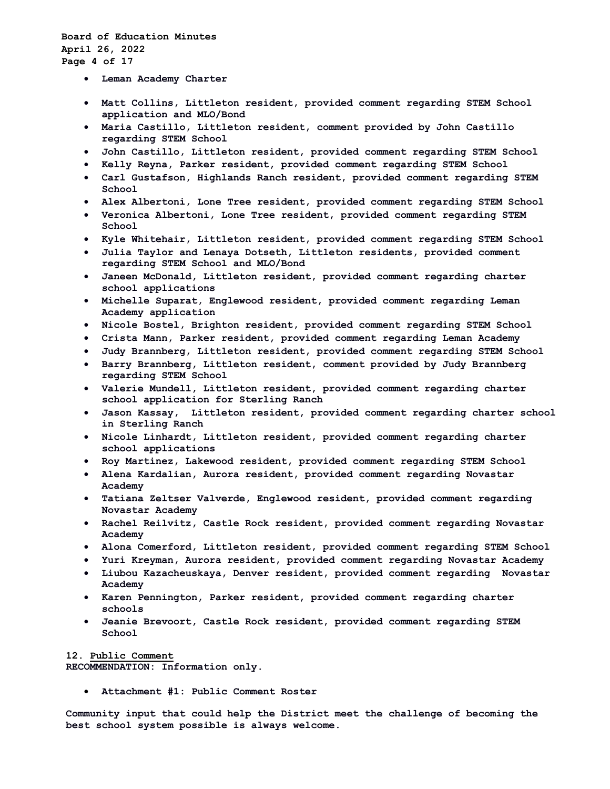- **Leman Academy Charter**
- **Matt Collins, Littleton resident, provided comment regarding STEM School application and MLO/Bond**
- **Maria Castillo, Littleton resident, comment provided by John Castillo regarding STEM School**
- **John Castillo, Littleton resident, provided comment regarding STEM School**
- **Kelly Reyna, Parker resident, provided comment regarding STEM School**
- **Carl Gustafson, Highlands Ranch resident, provided comment regarding STEM School**
- **Alex Albertoni, Lone Tree resident, provided comment regarding STEM School**
- **Veronica Albertoni, Lone Tree resident, provided comment regarding STEM School**
- **Kyle Whitehair, Littleton resident, provided comment regarding STEM School**
- **Julia Taylor and Lenaya Dotseth, Littleton residents, provided comment regarding STEM School and MLO/Bond**
- **Janeen McDonald, Littleton resident, provided comment regarding charter school applications**
- **Michelle Suparat, Englewood resident, provided comment regarding Leman Academy application**
- **Nicole Bostel, Brighton resident, provided comment regarding STEM School**
- **Crista Mann, Parker resident, provided comment regarding Leman Academy**
- **Judy Brannberg, Littleton resident, provided comment regarding STEM School**
- **Barry Brannberg, Littleton resident, comment provided by Judy Brannberg regarding STEM School**
- **Valerie Mundell, Littleton resident, provided comment regarding charter school application for Sterling Ranch**
- **Jason Kassay, Littleton resident, provided comment regarding charter school in Sterling Ranch**
- **Nicole Linhardt, Littleton resident, provided comment regarding charter school applications**
- **Roy Martinez, Lakewood resident, provided comment regarding STEM School**
- **Alena Kardalian, Aurora resident, provided comment regarding Novastar Academy**
- **Tatiana Zeltser Valverde, Englewood resident, provided comment regarding Novastar Academy**
- **Rachel Reilvitz, Castle Rock resident, provided comment regarding Novastar Academy**
- **Alona Comerford, Littleton resident, provided comment regarding STEM School**
- **Yuri Kreyman, Aurora resident, provided comment regarding Novastar Academy**
- **Liubou Kazacheuskaya, Denver resident, provided comment regarding Novastar Academy**
- **Karen Pennington, Parker resident, provided comment regarding charter schools**
- **Jeanie Brevoort, Castle Rock resident, provided comment regarding STEM School**

## **12. Public Comment**

**RECOMMENDATION: Information only.**

• **Attachment #1: Public Comment Roster**

**Community input that could help the District meet the challenge of becoming the best school system possible is always welcome.**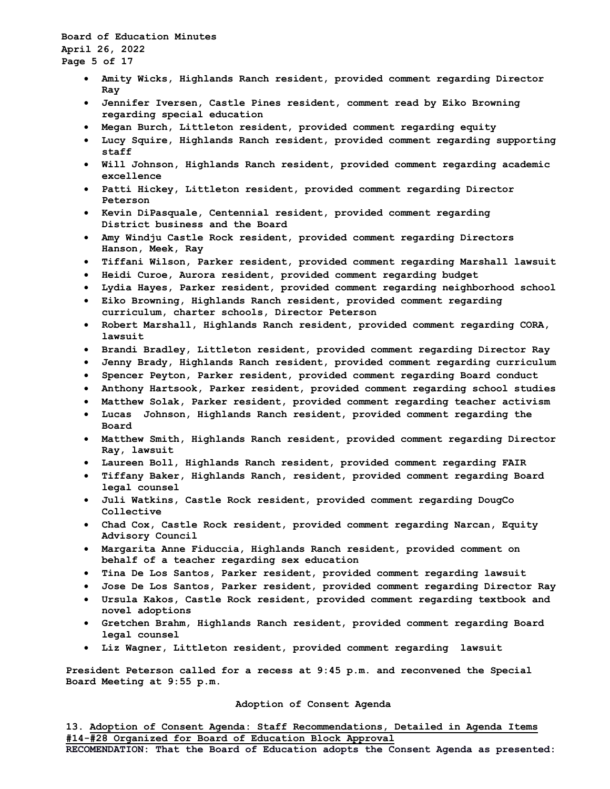# **Board of Education Minutes April 26, 2022 Page 5 of 17**

- **Amity Wicks, Highlands Ranch resident, provided comment regarding Director Ray**
- **Jennifer Iversen, Castle Pines resident, comment read by Eiko Browning regarding special education**
- **Megan Burch, Littleton resident, provided comment regarding equity**
- **Lucy Squire, Highlands Ranch resident, provided comment regarding supporting staff**
- **Will Johnson, Highlands Ranch resident, provided comment regarding academic excellence**
- **Patti Hickey, Littleton resident, provided comment regarding Director Peterson**
- **Kevin DiPasquale, Centennial resident, provided comment regarding District business and the Board**
- **Amy Windju Castle Rock resident, provided comment regarding Directors Hanson, Meek, Ray**
- **Tiffani Wilson, Parker resident, provided comment regarding Marshall lawsuit**
- **Heidi Curoe, Aurora resident, provided comment regarding budget**
- **Lydia Hayes, Parker resident, provided comment regarding neighborhood school**
- **Eiko Browning, Highlands Ranch resident, provided comment regarding curriculum, charter schools, Director Peterson**
- **Robert Marshall, Highlands Ranch resident, provided comment regarding CORA, lawsuit**
- **Brandi Bradley, Littleton resident, provided comment regarding Director Ray**
- **Jenny Brady, Highlands Ranch resident, provided comment regarding curriculum**
- **Spencer Peyton, Parker resident, provided comment regarding Board conduct**
- **Anthony Hartsook, Parker resident, provided comment regarding school studies**
- **Matthew Solak, Parker resident, provided comment regarding teacher activism**
- **Lucas Johnson, Highlands Ranch resident, provided comment regarding the Board**
- **Matthew Smith, Highlands Ranch resident, provided comment regarding Director Ray, lawsuit**
- **Laureen Boll, Highlands Ranch resident, provided comment regarding FAIR**
- **Tiffany Baker, Highlands Ranch, resident, provided comment regarding Board legal counsel**
- **Juli Watkins, Castle Rock resident, provided comment regarding DougCo Collective**
- **Chad Cox, Castle Rock resident, provided comment regarding Narcan, Equity Advisory Council**
- **Margarita Anne Fiduccia, Highlands Ranch resident, provided comment on behalf of a teacher regarding sex education**
- **Tina De Los Santos, Parker resident, provided comment regarding lawsuit**
- **Jose De Los Santos, Parker resident, provided comment regarding Director Ray**
- **Ursula Kakos, Castle Rock resident, provided comment regarding textbook and novel adoptions**
- **Gretchen Brahm, Highlands Ranch resident, provided comment regarding Board legal counsel**
- **Liz Wagner, Littleton resident, provided comment regarding lawsuit**

**President Peterson called for a recess at 9:45 p.m. and reconvened the Special Board Meeting at 9:55 p.m.**

## **Adoption of Consent Agenda**

**13. Adoption of Consent Agenda: Staff Recommendations, Detailed in Agenda Items #14-#28 Organized for Board of Education Block Approval RECOMENDATION: That the Board of Education adopts the Consent Agenda as presented:**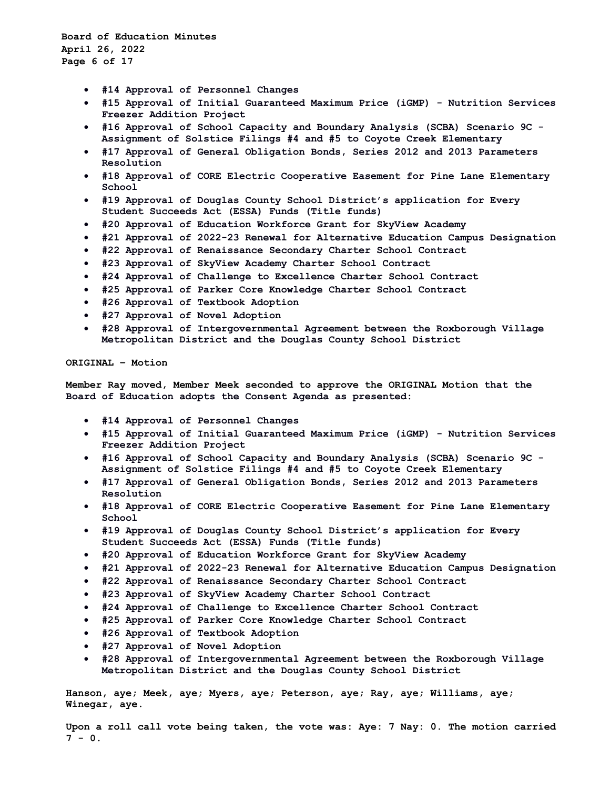**Board of Education Minutes April 26, 2022 Page 6 of 17**

- **#14 Approval of Personnel Changes**
- **#15 Approval of Initial Guaranteed Maximum Price (iGMP) - Nutrition Services Freezer Addition Project**
- **#16 Approval of School Capacity and Boundary Analysis (SCBA) Scenario 9C - Assignment of Solstice Filings #4 and #5 to Coyote Creek Elementary**
- **#17 Approval of General Obligation Bonds, Series 2012 and 2013 Parameters Resolution**
- **#18 Approval of CORE Electric Cooperative Easement for Pine Lane Elementary School**
- **#19 Approval of Douglas County School District's application for Every Student Succeeds Act (ESSA) Funds (Title funds)**
- **#20 Approval of Education Workforce Grant for SkyView Academy**
- **#21 Approval of 2022-23 Renewal for Alternative Education Campus Designation**
- **#22 Approval of Renaissance Secondary Charter School Contract**
- **#23 Approval of SkyView Academy Charter School Contract**
- **#24 Approval of Challenge to Excellence Charter School Contract**
- **#25 Approval of Parker Core Knowledge Charter School Contract**
- **#26 Approval of Textbook Adoption**
- **#27 Approval of Novel Adoption**
- **#28 Approval of Intergovernmental Agreement between the Roxborough Village Metropolitan District and the Douglas County School District**

## **ORIGINAL – Motion**

**Member Ray moved, Member Meek seconded to approve the ORIGINAL Motion that the Board of Education adopts the Consent Agenda as presented:**

- **#14 Approval of Personnel Changes**
- **#15 Approval of Initial Guaranteed Maximum Price (iGMP) - Nutrition Services Freezer Addition Project**
- **#16 Approval of School Capacity and Boundary Analysis (SCBA) Scenario 9C - Assignment of Solstice Filings #4 and #5 to Coyote Creek Elementary**
- **#17 Approval of General Obligation Bonds, Series 2012 and 2013 Parameters Resolution**
- **#18 Approval of CORE Electric Cooperative Easement for Pine Lane Elementary School**
- **#19 Approval of Douglas County School District's application for Every Student Succeeds Act (ESSA) Funds (Title funds)**
- **#20 Approval of Education Workforce Grant for SkyView Academy**
- **#21 Approval of 2022-23 Renewal for Alternative Education Campus Designation**
- **#22 Approval of Renaissance Secondary Charter School Contract**
- **#23 Approval of SkyView Academy Charter School Contract**
- **#24 Approval of Challenge to Excellence Charter School Contract**
- **#25 Approval of Parker Core Knowledge Charter School Contract**
- **#26 Approval of Textbook Adoption**
- **#27 Approval of Novel Adoption**
- **#28 Approval of Intergovernmental Agreement between the Roxborough Village Metropolitan District and the Douglas County School District**

**Hanson, aye; Meek, aye; Myers, aye; Peterson, aye; Ray, aye; Williams, aye; Winegar, aye.** 

**Upon a roll call vote being taken, the vote was: Aye: 7 Nay: 0. The motion carried 7 - 0.**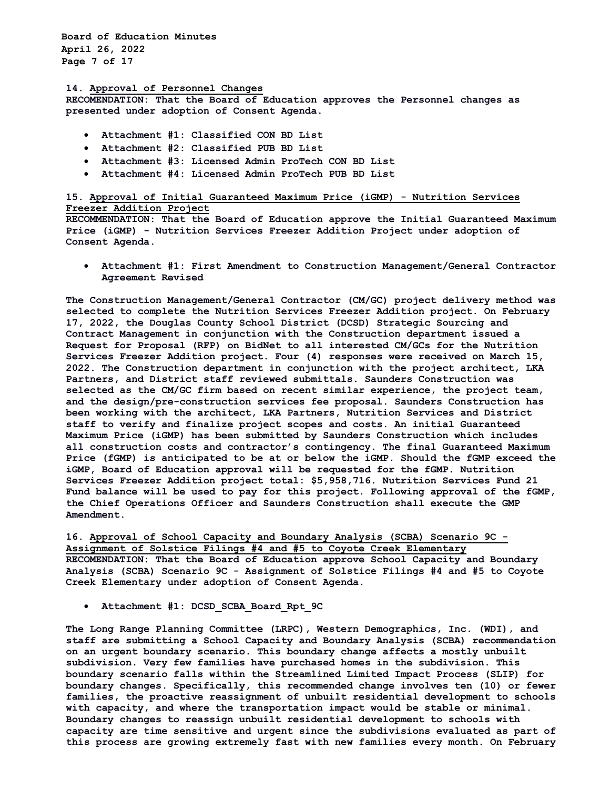**Board of Education Minutes April 26, 2022 Page 7 of 17**

#### **14. Approval of Personnel Changes**

**RECOMENDATION: That the Board of Education approves the Personnel changes as presented under adoption of Consent Agenda.**

- **Attachment #1: Classified CON BD List**
- **Attachment #2: Classified PUB BD List**
- **Attachment #3: Licensed Admin ProTech CON BD List**
- **Attachment #4: Licensed Admin ProTech PUB BD List**

## **15. Approval of Initial Guaranteed Maximum Price (iGMP) - Nutrition Services Freezer Addition Project**

**RECOMMENDATION: That the Board of Education approve the Initial Guaranteed Maximum Price (iGMP) - Nutrition Services Freezer Addition Project under adoption of Consent Agenda.** 

• **Attachment #1: First Amendment to Construction Management/General Contractor Agreement Revised** 

**The Construction Management/General Contractor (CM/GC) project delivery method was selected to complete the Nutrition Services Freezer Addition project. On February 17, 2022, the Douglas County School District (DCSD) Strategic Sourcing and Contract Management in conjunction with the Construction department issued a Request for Proposal (RFP) on BidNet to all interested CM/GCs for the Nutrition Services Freezer Addition project. Four (4) responses were received on March 15, 2022. The Construction department in conjunction with the project architect, LKA Partners, and District staff reviewed submittals. Saunders Construction was selected as the CM/GC firm based on recent similar experience, the project team, and the design/pre-construction services fee proposal. Saunders Construction has been working with the architect, LKA Partners, Nutrition Services and District staff to verify and finalize project scopes and costs. An initial Guaranteed Maximum Price (iGMP) has been submitted by Saunders Construction which includes all construction costs and contractor's contingency. The final Guaranteed Maximum Price (fGMP) is anticipated to be at or below the iGMP. Should the fGMP exceed the iGMP, Board of Education approval will be requested for the fGMP. Nutrition Services Freezer Addition project total: \$5,958,716. Nutrition Services Fund 21 Fund balance will be used to pay for this project. Following approval of the fGMP, the Chief Operations Officer and Saunders Construction shall execute the GMP Amendment.** 

**16. Approval of School Capacity and Boundary Analysis (SCBA) Scenario 9C - Assignment of Solstice Filings #4 and #5 to Coyote Creek Elementary RECOMENDATION: That the Board of Education approve School Capacity and Boundary Analysis (SCBA) Scenario 9C - Assignment of Solstice Filings #4 and #5 to Coyote Creek Elementary under adoption of Consent Agenda.**

• **Attachment #1: DCSD\_SCBA\_Board\_Rpt\_9C** 

**The Long Range Planning Committee (LRPC), Western Demographics, Inc. (WDI), and staff are submitting a School Capacity and Boundary Analysis (SCBA) recommendation on an urgent boundary scenario. This boundary change affects a mostly unbuilt subdivision. Very few families have purchased homes in the subdivision. This boundary scenario falls within the Streamlined Limited Impact Process (SLIP) for boundary changes. Specifically, this recommended change involves ten (10) or fewer families, the proactive reassignment of unbuilt residential development to schools with capacity, and where the transportation impact would be stable or minimal. Boundary changes to reassign unbuilt residential development to schools with capacity are time sensitive and urgent since the subdivisions evaluated as part of this process are growing extremely fast with new families every month. On February**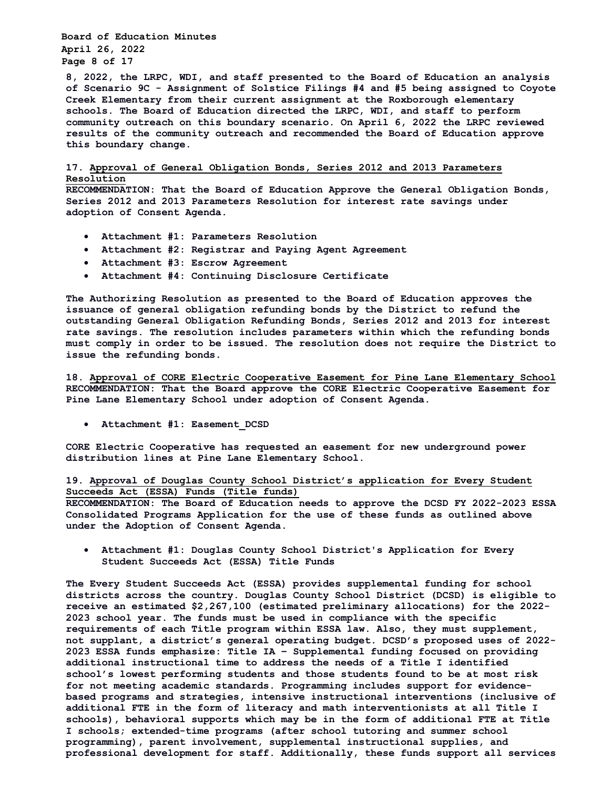**Board of Education Minutes April 26, 2022 Page 8 of 17**

**8, 2022, the LRPC, WDI, and staff presented to the Board of Education an analysis of Scenario 9C - Assignment of Solstice Filings #4 and #5 being assigned to Coyote Creek Elementary from their current assignment at the Roxborough elementary schools. The Board of Education directed the LRPC, WDI, and staff to perform community outreach on this boundary scenario. On April 6, 2022 the LRPC reviewed results of the community outreach and recommended the Board of Education approve this boundary change.** 

**17. Approval of General Obligation Bonds, Series 2012 and 2013 Parameters Resolution**

**RECOMMENDATION: That the Board of Education Approve the General Obligation Bonds, Series 2012 and 2013 Parameters Resolution for interest rate savings under adoption of Consent Agenda.** 

- **Attachment #1: Parameters Resolution**
- **Attachment #2: Registrar and Paying Agent Agreement**
- **Attachment #3: Escrow Agreement**
- **Attachment #4: Continuing Disclosure Certificate**

**The Authorizing Resolution as presented to the Board of Education approves the issuance of general obligation refunding bonds by the District to refund the outstanding General Obligation Refunding Bonds, Series 2012 and 2013 for interest rate savings. The resolution includes parameters within which the refunding bonds must comply in order to be issued. The resolution does not require the District to issue the refunding bonds.** 

**18. Approval of CORE Electric Cooperative Easement for Pine Lane Elementary School RECOMMENDATION: That the Board approve the CORE Electric Cooperative Easement for Pine Lane Elementary School under adoption of Consent Agenda.** 

• **Attachment #1: Easement\_DCSD** 

**CORE Electric Cooperative has requested an easement for new underground power distribution lines at Pine Lane Elementary School.** 

**19. Approval of Douglas County School District's application for Every Student Succeeds Act (ESSA) Funds (Title funds)**

**RECOMMENDATION: The Board of Education needs to approve the DCSD FY 2022-2023 ESSA Consolidated Programs Application for the use of these funds as outlined above under the Adoption of Consent Agenda.**

• **Attachment #1: Douglas County School District's Application for Every Student Succeeds Act (ESSA) Title Funds** 

**The Every Student Succeeds Act (ESSA) provides supplemental funding for school districts across the country. Douglas County School District (DCSD) is eligible to receive an estimated \$2,267,100 (estimated preliminary allocations) for the 2022- 2023 school year. The funds must be used in compliance with the specific requirements of each Title program within ESSA law. Also, they must supplement, not supplant, a district's general operating budget. DCSD's proposed uses of 2022- 2023 ESSA funds emphasize: Title IA – Supplemental funding focused on providing additional instructional time to address the needs of a Title I identified school's lowest performing students and those students found to be at most risk for not meeting academic standards. Programming includes support for evidencebased programs and strategies, intensive instructional interventions (inclusive of additional FTE in the form of literacy and math interventionists at all Title I schools), behavioral supports which may be in the form of additional FTE at Title I schools; extended-time programs (after school tutoring and summer school programming), parent involvement, supplemental instructional supplies, and professional development for staff. Additionally, these funds support all services**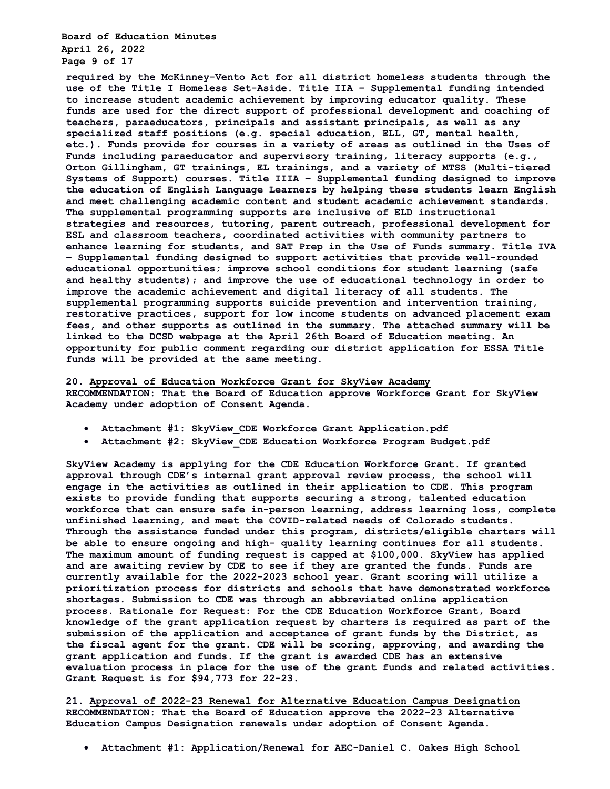**Board of Education Minutes April 26, 2022 Page 9 of 17**

**required by the McKinney-Vento Act for all district homeless students through the use of the Title I Homeless Set-Aside. Title IIA – Supplemental funding intended to increase student academic achievement by improving educator quality. These funds are used for the direct support of professional development and coaching of teachers, paraeducators, principals and assistant principals, as well as any specialized staff positions (e.g. special education, ELL, GT, mental health, etc.). Funds provide for courses in a variety of areas as outlined in the Uses of Funds including paraeducator and supervisory training, literacy supports (e.g., Orton Gillingham, GT trainings, EL trainings, and a variety of MTSS (Multi-tiered Systems of Support) courses. Title IIIA – Supplemental funding designed to improve the education of English Language Learners by helping these students learn English and meet challenging academic content and student academic achievement standards. The supplemental programming supports are inclusive of ELD instructional strategies and resources, tutoring, parent outreach, professional development for ESL and classroom teachers, coordinated activities with community partners to enhance learning for students, and SAT Prep in the Use of Funds summary. Title IVA – Supplemental funding designed to support activities that provide well-rounded educational opportunities; improve school conditions for student learning (safe and healthy students); and improve the use of educational technology in order to improve the academic achievement and digital literacy of all students. The supplemental programming supports suicide prevention and intervention training, restorative practices, support for low income students on advanced placement exam fees, and other supports as outlined in the summary. The attached summary will be linked to the DCSD webpage at the April 26th Board of Education meeting. An opportunity for public comment regarding our district application for ESSA Title funds will be provided at the same meeting.** 

### **20. Approval of Education Workforce Grant for SkyView Academy**

**RECOMMENDATION: That the Board of Education approve Workforce Grant for SkyView Academy under adoption of Consent Agenda.** 

- **Attachment #1: SkyView\_CDE Workforce Grant Application.pdf**
- **Attachment #2: SkyView\_CDE Education Workforce Program Budget.pdf**

**SkyView Academy is applying for the CDE Education Workforce Grant. If granted approval through CDE's internal grant approval review process, the school will engage in the activities as outlined in their application to CDE. This program exists to provide funding that supports securing a strong, talented education workforce that can ensure safe in-person learning, address learning loss, complete unfinished learning, and meet the COVID-related needs of Colorado students. Through the assistance funded under this program, districts/eligible charters will be able to ensure ongoing and high- quality learning continues for all students. The maximum amount of funding request is capped at \$100,000. SkyView has applied and are awaiting review by CDE to see if they are granted the funds. Funds are currently available for the 2022-2023 school year. Grant scoring will utilize a prioritization process for districts and schools that have demonstrated workforce shortages. Submission to CDE was through an abbreviated online application process. Rationale for Request: For the CDE Education Workforce Grant, Board knowledge of the grant application request by charters is required as part of the submission of the application and acceptance of grant funds by the District, as the fiscal agent for the grant. CDE will be scoring, approving, and awarding the grant application and funds. If the grant is awarded CDE has an extensive evaluation process in place for the use of the grant funds and related activities. Grant Request is for \$94,773 for 22-23.** 

**21. Approval of 2022-23 Renewal for Alternative Education Campus Designation RECOMMENDATION: That the Board of Education approve the 2022-23 Alternative Education Campus Designation renewals under adoption of Consent Agenda.** 

• **Attachment #1: Application/Renewal for AEC-Daniel C. Oakes High School**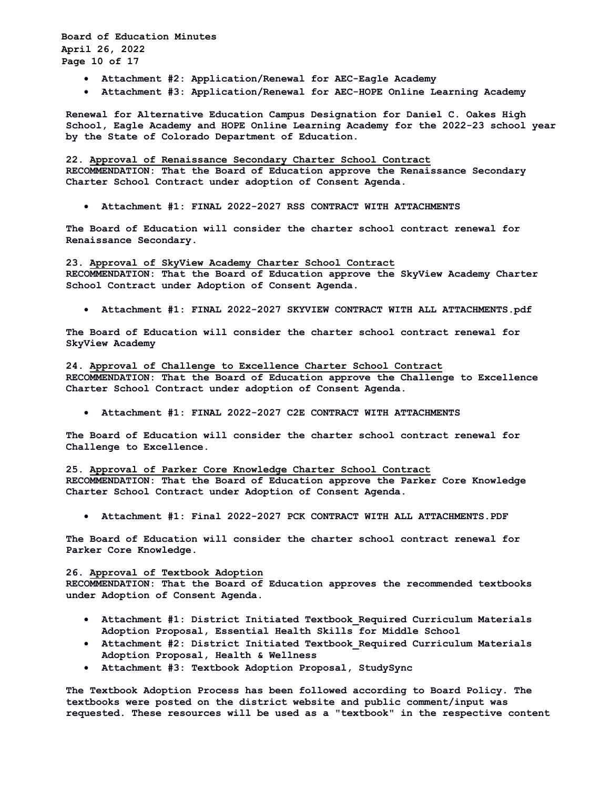**Board of Education Minutes April 26, 2022 Page 10 of 17**

- **Attachment #2: Application/Renewal for AEC-Eagle Academy**
- **Attachment #3: Application/Renewal for AEC-HOPE Online Learning Academy**

**Renewal for Alternative Education Campus Designation for Daniel C. Oakes High School, Eagle Academy and HOPE Online Learning Academy for the 2022-23 school year by the State of Colorado Department of Education.** 

**22. Approval of Renaissance Secondary Charter School Contract RECOMMENDATION: That the Board of Education approve the Renaissance Secondary Charter School Contract under adoption of Consent Agenda.** 

• **Attachment #1: FINAL 2022-2027 RSS CONTRACT WITH ATTACHMENTS** 

**The Board of Education will consider the charter school contract renewal for Renaissance Secondary.** 

**23. Approval of SkyView Academy Charter School Contract RECOMMENDATION: That the Board of Education approve the SkyView Academy Charter School Contract under Adoption of Consent Agenda.** 

• **Attachment #1: FINAL 2022-2027 SKYVIEW CONTRACT WITH ALL ATTACHMENTS.pdf** 

**The Board of Education will consider the charter school contract renewal for SkyView Academy** 

**24. Approval of Challenge to Excellence Charter School Contract RECOMMENDATION: That the Board of Education approve the Challenge to Excellence Charter School Contract under adoption of Consent Agenda.** 

• **Attachment #1: FINAL 2022-2027 C2E CONTRACT WITH ATTACHMENTS** 

**The Board of Education will consider the charter school contract renewal for Challenge to Excellence.** 

**25. Approval of Parker Core Knowledge Charter School Contract RECOMMENDATION: That the Board of Education approve the Parker Core Knowledge Charter School Contract under Adoption of Consent Agenda.** 

• **Attachment #1: Final 2022-2027 PCK CONTRACT WITH ALL ATTACHMENTS.PDF** 

**The Board of Education will consider the charter school contract renewal for Parker Core Knowledge.** 

## **26. Approval of Textbook Adoption**

**RECOMMENDATION: That the Board of Education approves the recommended textbooks under Adoption of Consent Agenda.** 

- **Attachment #1: District Initiated Textbook\_Required Curriculum Materials Adoption Proposal, Essential Health Skills for Middle School**
- **Attachment #2: District Initiated Textbook\_Required Curriculum Materials Adoption Proposal, Health & Wellness**
- **Attachment #3: Textbook Adoption Proposal, StudySync**

**The Textbook Adoption Process has been followed according to Board Policy. The textbooks were posted on the district website and public comment/input was requested. These resources will be used as a "textbook" in the respective content**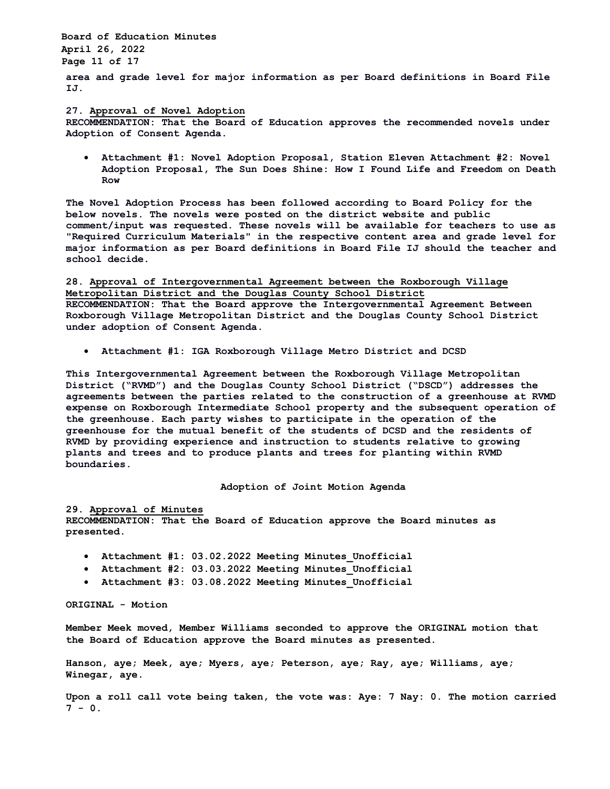**Board of Education Minutes April 26, 2022 Page 11 of 17**

**area and grade level for major information as per Board definitions in Board File IJ.** 

### **27. Approval of Novel Adoption**

**RECOMMENDATION: That the Board of Education approves the recommended novels under Adoption of Consent Agenda.** 

• **Attachment #1: Novel Adoption Proposal, Station Eleven Attachment #2: Novel Adoption Proposal, The Sun Does Shine: How I Found Life and Freedom on Death Row** 

**The Novel Adoption Process has been followed according to Board Policy for the below novels. The novels were posted on the district website and public comment/input was requested. These novels will be available for teachers to use as "Required Curriculum Materials" in the respective content area and grade level for major information as per Board definitions in Board File IJ should the teacher and school decide.** 

**28. Approval of Intergovernmental Agreement between the Roxborough Village Metropolitan District and the Douglas County School District**

**RECOMMENDATION: That the Board approve the Intergovernmental Agreement Between Roxborough Village Metropolitan District and the Douglas County School District under adoption of Consent Agenda.** 

• **Attachment #1: IGA Roxborough Village Metro District and DCSD** 

**This Intergovernmental Agreement between the Roxborough Village Metropolitan District ("RVMD") and the Douglas County School District ("DSCD") addresses the agreements between the parties related to the construction of a greenhouse at RVMD expense on Roxborough Intermediate School property and the subsequent operation of the greenhouse. Each party wishes to participate in the operation of the greenhouse for the mutual benefit of the students of DCSD and the residents of RVMD by providing experience and instruction to students relative to growing plants and trees and to produce plants and trees for planting within RVMD boundaries.** 

## **Adoption of Joint Motion Agenda**

**29. Approval of Minutes** 

**RECOMMENDATION: That the Board of Education approve the Board minutes as presented.** 

- **Attachment #1: 03.02.2022 Meeting Minutes\_Unofficial**
- **Attachment #2: 03.03.2022 Meeting Minutes\_Unofficial**
- **Attachment #3: 03.08.2022 Meeting Minutes\_Unofficial**

**ORIGINAL - Motion** 

**Member Meek moved, Member Williams seconded to approve the ORIGINAL motion that the Board of Education approve the Board minutes as presented.** 

**Hanson, aye; Meek, aye; Myers, aye; Peterson, aye; Ray, aye; Williams, aye; Winegar, aye.** 

**Upon a roll call vote being taken, the vote was: Aye: 7 Nay: 0. The motion carried 7 - 0.**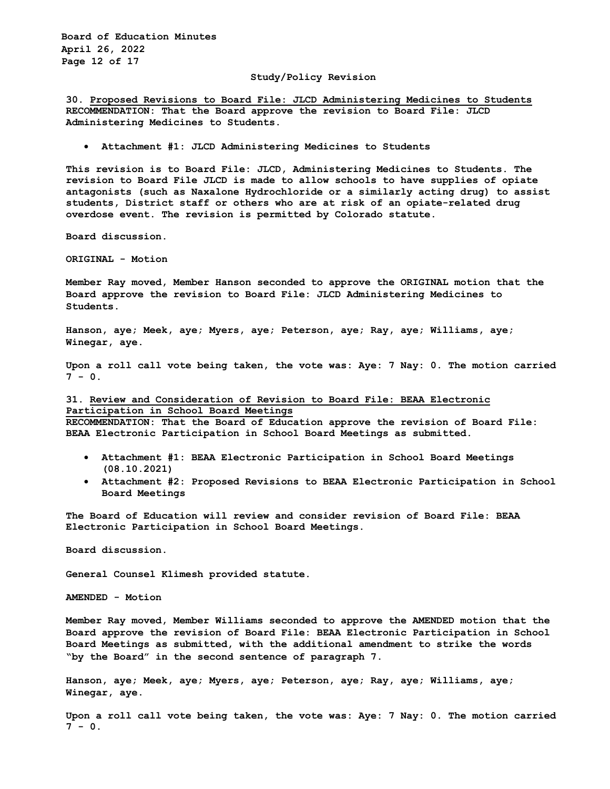**Board of Education Minutes April 26, 2022 Page 12 of 17**

## **Study/Policy Revision**

**30. Proposed Revisions to Board File: JLCD Administering Medicines to Students RECOMMENDATION: That the Board approve the revision to Board File: JLCD Administering Medicines to Students.** 

• **Attachment #1: JLCD Administering Medicines to Students** 

**This revision is to Board File: JLCD, Administering Medicines to Students. The revision to Board File JLCD is made to allow schools to have supplies of opiate antagonists (such as Naxalone Hydrochloride or a similarly acting drug) to assist students, District staff or others who are at risk of an opiate-related drug overdose event. The revision is permitted by Colorado statute.** 

**Board discussion.**

**ORIGINAL - Motion** 

**Member Ray moved, Member Hanson seconded to approve the ORIGINAL motion that the Board approve the revision to Board File: JLCD Administering Medicines to Students.** 

**Hanson, aye; Meek, aye; Myers, aye; Peterson, aye; Ray, aye; Williams, aye; Winegar, aye.**

**Upon a roll call vote being taken, the vote was: Aye: 7 Nay: 0. The motion carried**   $7 - 0.$ 

## **31. Review and Consideration of Revision to Board File: BEAA Electronic Participation in School Board Meetings**

**RECOMMENDATION: That the Board of Education approve the revision of Board File: BEAA Electronic Participation in School Board Meetings as submitted.** 

- **Attachment #1: BEAA Electronic Participation in School Board Meetings (08.10.2021)**
- **Attachment #2: Proposed Revisions to BEAA Electronic Participation in School Board Meetings**

**The Board of Education will review and consider revision of Board File: BEAA Electronic Participation in School Board Meetings.** 

**Board discussion.** 

**General Counsel Klimesh provided statute.**

**AMENDED - Motion** 

**Member Ray moved, Member Williams seconded to approve the AMENDED motion that the Board approve the revision of Board File: BEAA Electronic Participation in School Board Meetings as submitted, with the additional amendment to strike the words "by the Board" in the second sentence of paragraph 7.**

**Hanson, aye; Meek, aye; Myers, aye; Peterson, aye; Ray, aye; Williams, aye; Winegar, aye.**

**Upon a roll call vote being taken, the vote was: Aye: 7 Nay: 0. The motion carried 7 - 0.**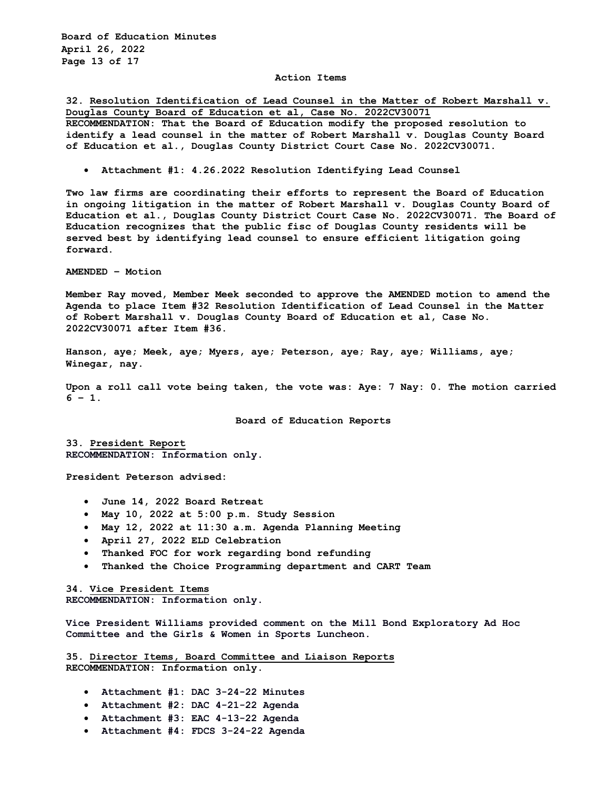**Board of Education Minutes April 26, 2022 Page 13 of 17**

### **Action Items**

**32. Resolution Identification of Lead Counsel in the Matter of Robert Marshall v. Douglas County Board of Education et al, Case No. 2022CV30071 RECOMMENDATION: That the Board of Education modify the proposed resolution to identify a lead counsel in the matter of Robert Marshall v. Douglas County Board of Education et al., Douglas County District Court Case No. 2022CV30071.** 

• **Attachment #1: 4.26.2022 Resolution Identifying Lead Counsel** 

**Two law firms are coordinating their efforts to represent the Board of Education in ongoing litigation in the matter of Robert Marshall v. Douglas County Board of Education et al., Douglas County District Court Case No. 2022CV30071. The Board of Education recognizes that the public fisc of Douglas County residents will be served best by identifying lead counsel to ensure efficient litigation going forward.** 

**AMENDED – Motion**

**Member Ray moved, Member Meek seconded to approve the AMENDED motion to amend the Agenda to place Item #32 Resolution Identification of Lead Counsel in the Matter of Robert Marshall v. Douglas County Board of Education et al, Case No. 2022CV30071 after Item #36.**

**Hanson, aye; Meek, aye; Myers, aye; Peterson, aye; Ray, aye; Williams, aye; Winegar, nay.**

**Upon a roll call vote being taken, the vote was: Aye: 7 Nay: 0. The motion carried 6 – 1.**

**Board of Education Reports**

**33. President Report RECOMMENDATION: Information only.**

**President Peterson advised:**

- **June 14, 2022 Board Retreat**
- **May 10, 2022 at 5:00 p.m. Study Session**
- **May 12, 2022 at 11:30 a.m. Agenda Planning Meeting**
- **April 27, 2022 ELD Celebration**
- **Thanked FOC for work regarding bond refunding**
- **Thanked the Choice Programming department and CART Team**

**34. Vice President Items RECOMMENDATION: Information only.**

**Vice President Williams provided comment on the Mill Bond Exploratory Ad Hoc Committee and the Girls & Women in Sports Luncheon.**

**35. Director Items, Board Committee and Liaison Reports RECOMMENDATION: Information only.** 

- **Attachment #1: DAC 3-24-22 Minutes**
- **Attachment #2: DAC 4-21-22 Agenda**
- **Attachment #3: EAC 4-13-22 Agenda**
- **Attachment #4: FDCS 3-24-22 Agenda**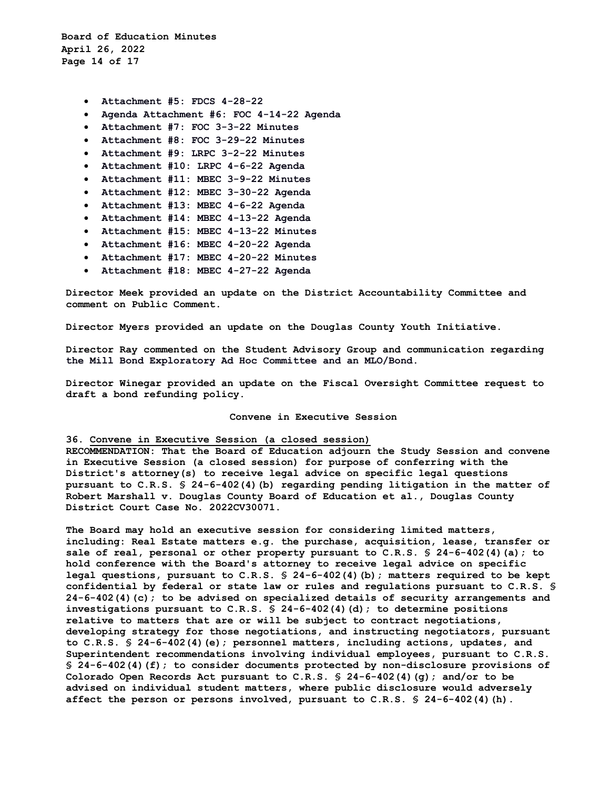**Board of Education Minutes April 26, 2022 Page 14 of 17**

- **Attachment #5: FDCS 4-28-22**
- **Agenda Attachment #6: FOC 4-14-22 Agenda**
- **Attachment #7: FOC 3-3-22 Minutes**
- **Attachment #8: FOC 3-29-22 Minutes**
- **Attachment #9: LRPC 3-2-22 Minutes**
- **Attachment #10: LRPC 4-6-22 Agenda**
- **Attachment #11: MBEC 3-9-22 Minutes**
- **Attachment #12: MBEC 3-30-22 Agenda**
- **Attachment #13: MBEC 4-6-22 Agenda**
- **Attachment #14: MBEC 4-13-22 Agenda**
- **Attachment #15: MBEC 4-13-22 Minutes**
- **Attachment #16: MBEC 4-20-22 Agenda**
- **Attachment #17: MBEC 4-20-22 Minutes**
- **Attachment #18: MBEC 4-27-22 Agenda**

**Director Meek provided an update on the District Accountability Committee and comment on Public Comment.**

**Director Myers provided an update on the Douglas County Youth Initiative.**

**Director Ray commented on the Student Advisory Group and communication regarding the Mill Bond Exploratory Ad Hoc Committee and an MLO/Bond.**

**Director Winegar provided an update on the Fiscal Oversight Committee request to draft a bond refunding policy.**

#### **Convene in Executive Session**

### **36. Convene in Executive Session (a closed session)**

**RECOMMENDATION: That the Board of Education adjourn the Study Session and convene in Executive Session (a closed session) for purpose of conferring with the District's attorney(s) to receive legal advice on specific legal questions pursuant to C.R.S. § 24-6-402(4)(b) regarding pending litigation in the matter of Robert Marshall v. Douglas County Board of Education et al., Douglas County District Court Case No. 2022CV30071.** 

**The Board may hold an executive session for considering limited matters, including: Real Estate matters e.g. the purchase, acquisition, lease, transfer or sale of real, personal or other property pursuant to C.R.S. § 24-6-402(4)(a); to hold conference with the Board's attorney to receive legal advice on specific legal questions, pursuant to C.R.S. § 24-6-402(4)(b); matters required to be kept confidential by federal or state law or rules and regulations pursuant to C.R.S. § 24-6-402(4)(c); to be advised on specialized details of security arrangements and investigations pursuant to C.R.S. § 24-6-402(4)(d); to determine positions relative to matters that are or will be subject to contract negotiations, developing strategy for those negotiations, and instructing negotiators, pursuant to C.R.S. § 24-6-402(4)(e); personnel matters, including actions, updates, and Superintendent recommendations involving individual employees, pursuant to C.R.S. § 24-6-402(4)(f); to consider documents protected by non-disclosure provisions of Colorado Open Records Act pursuant to C.R.S. § 24-6-402(4)(g); and/or to be advised on individual student matters, where public disclosure would adversely affect the person or persons involved, pursuant to C.R.S. § 24-6-402(4)(h).**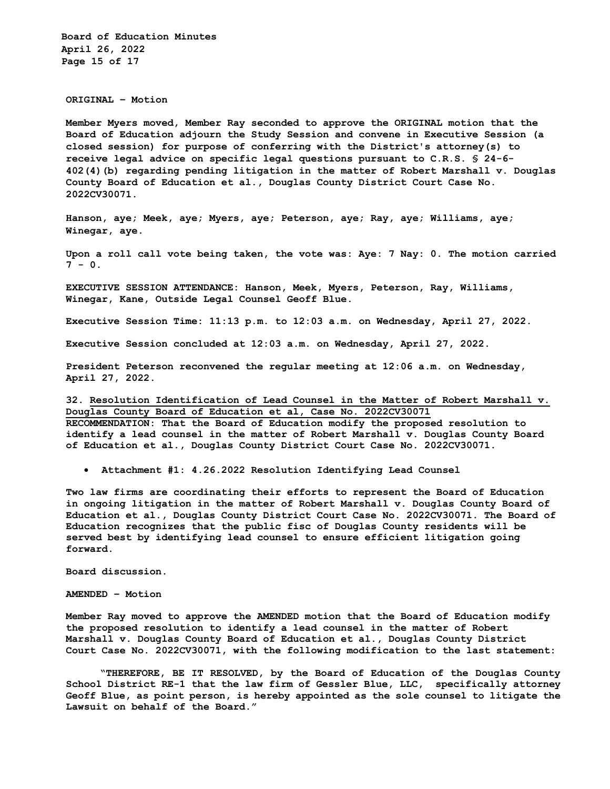**Board of Education Minutes April 26, 2022 Page 15 of 17**

**ORIGINAL – Motion** 

**Member Myers moved, Member Ray seconded to approve the ORIGINAL motion that the Board of Education adjourn the Study Session and convene in Executive Session (a closed session) for purpose of conferring with the District's attorney(s) to receive legal advice on specific legal questions pursuant to C.R.S. § 24-6- 402(4)(b) regarding pending litigation in the matter of Robert Marshall v. Douglas County Board of Education et al., Douglas County District Court Case No. 2022CV30071.** 

**Hanson, aye; Meek, aye; Myers, aye; Peterson, aye; Ray, aye; Williams, aye; Winegar, aye.**

**Upon a roll call vote being taken, the vote was: Aye: 7 Nay: 0. The motion carried 7 - 0.**

**EXECUTIVE SESSION ATTENDANCE: Hanson, Meek, Myers, Peterson, Ray, Williams, Winegar, Kane, Outside Legal Counsel Geoff Blue.**

**Executive Session Time: 11:13 p.m. to 12:03 a.m. on Wednesday, April 27, 2022.**

**Executive Session concluded at 12:03 a.m. on Wednesday, April 27, 2022.**

**President Peterson reconvened the regular meeting at 12:06 a.m. on Wednesday, April 27, 2022.**

**32. Resolution Identification of Lead Counsel in the Matter of Robert Marshall v. Douglas County Board of Education et al, Case No. 2022CV30071 RECOMMENDATION: That the Board of Education modify the proposed resolution to identify a lead counsel in the matter of Robert Marshall v. Douglas County Board of Education et al., Douglas County District Court Case No. 2022CV30071.** 

• **Attachment #1: 4.26.2022 Resolution Identifying Lead Counsel** 

**Two law firms are coordinating their efforts to represent the Board of Education in ongoing litigation in the matter of Robert Marshall v. Douglas County Board of Education et al., Douglas County District Court Case No. 2022CV30071. The Board of Education recognizes that the public fisc of Douglas County residents will be served best by identifying lead counsel to ensure efficient litigation going forward.** 

**Board discussion.**

**AMENDED – Motion** 

**Member Ray moved to approve the AMENDED motion that the Board of Education modify the proposed resolution to identify a lead counsel in the matter of Robert Marshall v. Douglas County Board of Education et al., Douglas County District Court Case No. 2022CV30071, with the following modification to the last statement:**

**"THEREFORE, BE IT RESOLVED, by the Board of Education of the Douglas County School District RE-1 that the law firm of Gessler Blue, LLC, specifically attorney Geoff Blue, as point person, is hereby appointed as the sole counsel to litigate the Lawsuit on behalf of the Board."**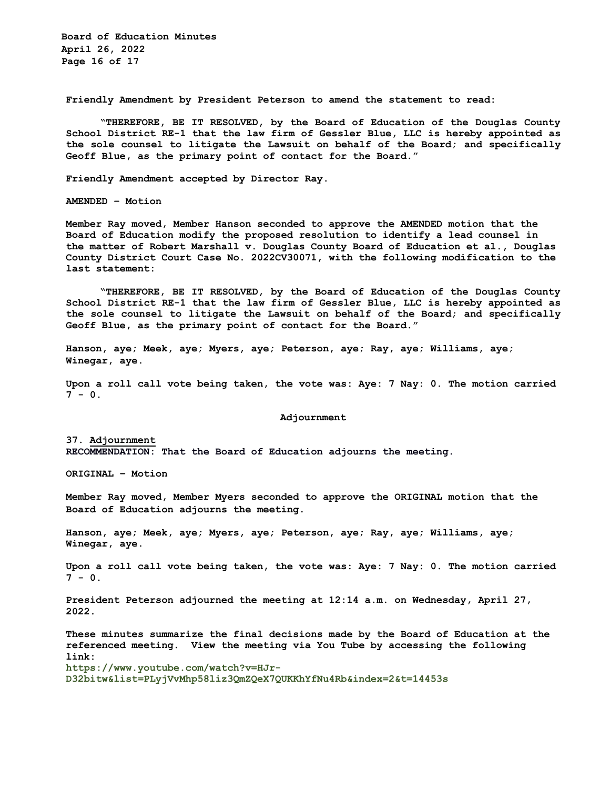**Board of Education Minutes April 26, 2022 Page 16 of 17**

**Friendly Amendment by President Peterson to amend the statement to read:**

**"THEREFORE, BE IT RESOLVED, by the Board of Education of the Douglas County School District RE-1 that the law firm of Gessler Blue, LLC is hereby appointed as the sole counsel to litigate the Lawsuit on behalf of the Board; and specifically Geoff Blue, as the primary point of contact for the Board."**

**Friendly Amendment accepted by Director Ray.**

**AMENDED – Motion** 

**Member Ray moved, Member Hanson seconded to approve the AMENDED motion that the Board of Education modify the proposed resolution to identify a lead counsel in the matter of Robert Marshall v. Douglas County Board of Education et al., Douglas County District Court Case No. 2022CV30071, with the following modification to the last statement:**

**"THEREFORE, BE IT RESOLVED, by the Board of Education of the Douglas County School District RE-1 that the law firm of Gessler Blue, LLC is hereby appointed as the sole counsel to litigate the Lawsuit on behalf of the Board; and specifically Geoff Blue, as the primary point of contact for the Board."**

**Hanson, aye; Meek, aye; Myers, aye; Peterson, aye; Ray, aye; Williams, aye; Winegar, aye.**

**Upon a roll call vote being taken, the vote was: Aye: 7 Nay: 0. The motion carried**   $7 - 0.$ 

#### **Adjournment**

**37. Adjournment RECOMMENDATION: That the Board of Education adjourns the meeting.**

**ORIGINAL – Motion**

**Member Ray moved, Member Myers seconded to approve the ORIGINAL motion that the Board of Education adjourns the meeting.** 

**Hanson, aye; Meek, aye; Myers, aye; Peterson, aye; Ray, aye; Williams, aye; Winegar, aye.** 

**Upon a roll call vote being taken, the vote was: Aye: 7 Nay: 0. The motion carried 7 - 0.**

**President Peterson adjourned the meeting at 12:14 a.m. on Wednesday, April 27, 2022.**

**These minutes summarize the final decisions made by the Board of Education at the referenced meeting. View the meeting via You Tube by accessing the following link: https://www.youtube.com/watch?v=HJr-D32bitw&list=PLyjVvMhp58liz3QmZQeX7QUKKhYfNu4Rb&index=2&t=14453s**